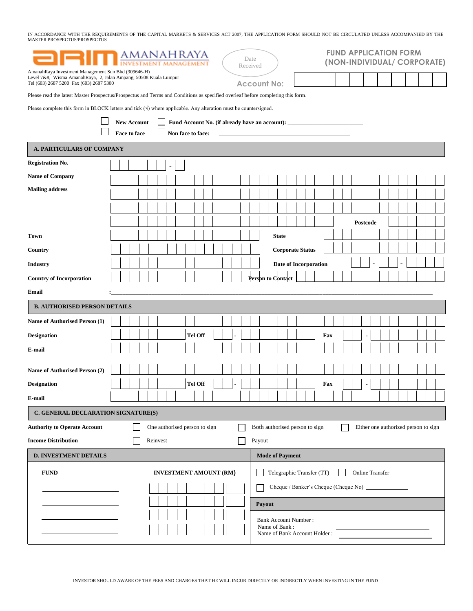IN ACCORDANCE WITH THE REQUIREMENTS OF THE CAPITAL MARKETS & SERVICES ACT 2007, THE APPLICATION FORM SHOULD NOT BE CIRCULATED UNLESS ACCOMPANIED BY THE<br>MASTER PROSPECTUS/PROSPECTUS

| <b>ANAHRAYA</b><br>Date<br>Received                                                                                                                                |                    |                                                                                   |  |                                                                              |     | <b>FUND APPLICATION FORM</b><br>(NON-INDIVIDUAL/ CORPORATE) |                                      |  |  |  |
|--------------------------------------------------------------------------------------------------------------------------------------------------------------------|--------------------|-----------------------------------------------------------------------------------|--|------------------------------------------------------------------------------|-----|-------------------------------------------------------------|--------------------------------------|--|--|--|
| AmanahRaya Investment Management Sdn Bhd (309646-H)<br>Level 7&8, Wisma AmanahRaya, 2, Jalan Ampang, 50508 Kuala Lumpur<br>Tel (603) 2687 5200 Fax (603) 2687 5300 |                    |                                                                                   |  | <b>Account No:</b>                                                           |     |                                                             |                                      |  |  |  |
| Please read the latest Master Prospectus/Prospectus and Terms and Conditions as specified overleaf before completing this form.                                    |                    |                                                                                   |  |                                                                              |     |                                                             |                                      |  |  |  |
| Please complete this form in BLOCK letters and tick $(\sqrt{})$ where applicable. Any alteration must be countersigned.                                            |                    |                                                                                   |  |                                                                              |     |                                                             |                                      |  |  |  |
|                                                                                                                                                                    | <b>New Account</b> | Fund Account No. (if already have an account): __________________________________ |  |                                                                              |     |                                                             |                                      |  |  |  |
|                                                                                                                                                                    | Face to face       | Non face to face:                                                                 |  |                                                                              |     |                                                             |                                      |  |  |  |
| <b>A. PARTICULARS OF COMPANY</b>                                                                                                                                   |                    |                                                                                   |  |                                                                              |     |                                                             |                                      |  |  |  |
| <b>Registration No.</b>                                                                                                                                            |                    |                                                                                   |  |                                                                              |     |                                                             |                                      |  |  |  |
| <b>Name of Company</b>                                                                                                                                             |                    |                                                                                   |  |                                                                              |     |                                                             |                                      |  |  |  |
| <b>Mailing address</b>                                                                                                                                             |                    |                                                                                   |  |                                                                              |     |                                                             |                                      |  |  |  |
|                                                                                                                                                                    |                    |                                                                                   |  |                                                                              |     |                                                             |                                      |  |  |  |
|                                                                                                                                                                    |                    |                                                                                   |  |                                                                              |     |                                                             |                                      |  |  |  |
|                                                                                                                                                                    |                    |                                                                                   |  |                                                                              |     |                                                             | Postcode                             |  |  |  |
| <b>Town</b>                                                                                                                                                        |                    |                                                                                   |  | <b>State</b>                                                                 |     |                                                             |                                      |  |  |  |
| Country                                                                                                                                                            |                    |                                                                                   |  | <b>Corporate Status</b>                                                      |     |                                                             |                                      |  |  |  |
| <b>Industry</b>                                                                                                                                                    |                    |                                                                                   |  | Date of Incorporation                                                        |     |                                                             |                                      |  |  |  |
| <b>Country of Incorporation</b>                                                                                                                                    |                    |                                                                                   |  | <b>Person to Contact</b>                                                     |     |                                                             |                                      |  |  |  |
| Email                                                                                                                                                              |                    |                                                                                   |  |                                                                              |     |                                                             |                                      |  |  |  |
| <b>B. AUTHORISED PERSON DETAILS</b>                                                                                                                                |                    |                                                                                   |  |                                                                              |     |                                                             |                                      |  |  |  |
| Name of Authorised Person (1)                                                                                                                                      |                    |                                                                                   |  |                                                                              |     |                                                             |                                      |  |  |  |
| <b>Designation</b>                                                                                                                                                 |                    | <b>Tel Off</b>                                                                    |  |                                                                              | Fax |                                                             |                                      |  |  |  |
| E-mail                                                                                                                                                             |                    |                                                                                   |  |                                                                              |     |                                                             |                                      |  |  |  |
| Name of Authorised Person (2)                                                                                                                                      |                    |                                                                                   |  |                                                                              |     |                                                             |                                      |  |  |  |
| <b>Designation</b>                                                                                                                                                 |                    | <b>Tel Off</b>                                                                    |  |                                                                              | Fax |                                                             | ٠                                    |  |  |  |
| E-mail                                                                                                                                                             |                    |                                                                                   |  |                                                                              |     |                                                             |                                      |  |  |  |
| C. GENERAL DECLARATION SIGNATURE(S)                                                                                                                                |                    |                                                                                   |  |                                                                              |     |                                                             |                                      |  |  |  |
| <b>Authority to Operate Account</b>                                                                                                                                |                    | One authorised person to sign                                                     |  | Both authorised person to sign                                               |     |                                                             | Either one authorized person to sign |  |  |  |
| <b>Income Distribution</b><br>Payout<br>Reinvest                                                                                                                   |                    |                                                                                   |  |                                                                              |     |                                                             |                                      |  |  |  |
| <b>D. INVESTMENT DETAILS</b>                                                                                                                                       |                    |                                                                                   |  | <b>Mode of Payment</b>                                                       |     |                                                             |                                      |  |  |  |
| <b>FUND</b>                                                                                                                                                        |                    | <b>INVESTMENT AMOUNT (RM)</b>                                                     |  | Telegraphic Transfer (TT)                                                    |     |                                                             | <b>Online Transfer</b>               |  |  |  |
|                                                                                                                                                                    |                    |                                                                                   |  |                                                                              |     |                                                             |                                      |  |  |  |
|                                                                                                                                                                    |                    |                                                                                   |  | Payout                                                                       |     |                                                             |                                      |  |  |  |
|                                                                                                                                                                    |                    |                                                                                   |  |                                                                              |     |                                                             |                                      |  |  |  |
|                                                                                                                                                                    |                    |                                                                                   |  | <b>Bank Account Number:</b><br>Name of Bank:<br>Name of Bank Account Holder: |     |                                                             |                                      |  |  |  |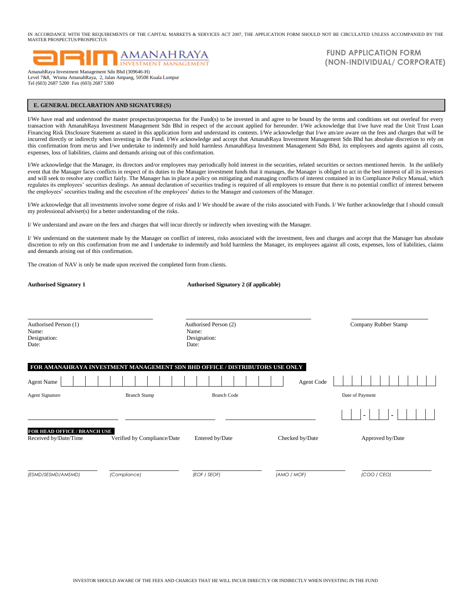IN ACCORDANCE WITH THE REQUIREMENTS OF THE CAPITAL MARKETS & SERVICES ACT 2007, THE APPLICATION FORM SHOULD NOT BE CIRCULATED UNLESS ACCOMPANIED BY THE MASTER PROSPECTUS/PROSPECTUS



Level 7&8, Wisma AmanahRaya, 2, Jalan Ampang, 50508 Kuala Lumpur Tel (603) 2687 5200 Fax (603) 2687 5300

 **FUND APPLICATION FORM (NON-INDIVIDUAL/ CORPORATE)**

#### **E. GENERAL DECLARATION AND SIGNATURE(S)**

I

I/We have read and understood the master prospectus/prospectus for the Fund(s) to be invested in and agree to be bound by the terms and conditions set out overleaf for every transaction with AmanahRaya Investment Management Sdn Bhd in respect of the account applied for hereunder. I/We acknowledge that I/we have read the Unit Trust Loan Financing Risk Disclosure Statement as stated in this application form and understand its contents. I/We acknowledge that I/we am/are aware on the fees and charges that will be incurred directly or indirectly when investing in the Fund. I/We acknowledge and accept that AmanahRaya Investment Management Sdn Bhd has absolute discretion to rely on this confirmation from me/us and I/we undertake to indemnify and hold harmless AmanahRaya Investment Management Sdn Bhd, its employees and agents against all costs, expenses, loss of liabilities, claims and demands arising out of this confirmation.

I/We acknowledge that the Manager, its directors and/or employees may periodically hold interest in the securities, related securities or sectors mentioned herein. In the unlikely event that the Manager faces conflicts in respect of its duties to the Manager investment funds that it manages, the Manager is obliged to act in the best interest of all its investors and will seek to resolve any conflict fairly. The Manager has in place a policy on mitigating and managing conflicts of interest contained in its Compliance Policy Manual, which regulates its employees' securities dealings. An annual declaration of securities trading is required of all employees to ensure that there is no potential conflict of interest between the employees' securities trading and the execution of the employees' duties to the Manager and customers of the Manager.

I/We acknowledge that all investments involve some degree of risks and I/ We should be aware of the risks associated with Funds. I/ We further acknowledge that I should consult my professional adviser(s) for a better understanding of the risks.

I/ We understand and aware on the fees and charges that will incur directly or indirectly when investing with the Manager.

I/ We understand on the statement made by the Manager on conflict of interest, risks associated with the investment, fees and charges and accept that the Manager has absolute discretion to rely on this confirmation from me and I undertake to indemnify and hold harmless the Manager, its employees against all costs, expenses, loss of liabilities, claims and demands arising out of this confirmation.

The creation of NAV is only be made upon received the completed form from clients.

| <b>Authorised Signatory 1</b>                                |                                                                                                    | <b>Authorised Signatory 2 (if applicable)</b>           |                 |                      |  |  |  |
|--------------------------------------------------------------|----------------------------------------------------------------------------------------------------|---------------------------------------------------------|-----------------|----------------------|--|--|--|
| Authorised Person (1)<br>Name:<br>Designation:<br>Date:      |                                                                                                    | Authorised Person (2)<br>Name:<br>Designation:<br>Date: |                 | Company Rubber Stamp |  |  |  |
| <b>Agent Name</b><br><b>Agent Signature</b>                  | FOR AMANAHRAYA INVESTMENT MANAGEMENT SDN BHD OFFICE / DISTRIBUTORS USE ONLY<br><b>Branch Stamp</b> | <b>Branch Code</b>                                      | Agent Code      | Date of Payment      |  |  |  |
| <b>FOR HEAD OFFICE / BRANCH USE</b><br>Received by/Date/Time | Verified by Compliance/Date                                                                        | Entered by/Date                                         | Checked by/Date | Approved by/Date     |  |  |  |
| (ESMD/SESMD/AMSMD)                                           | (Compliance)                                                                                       | (EOF / SEOF)                                            | (AMO / MOF)     | (COO / CEO)          |  |  |  |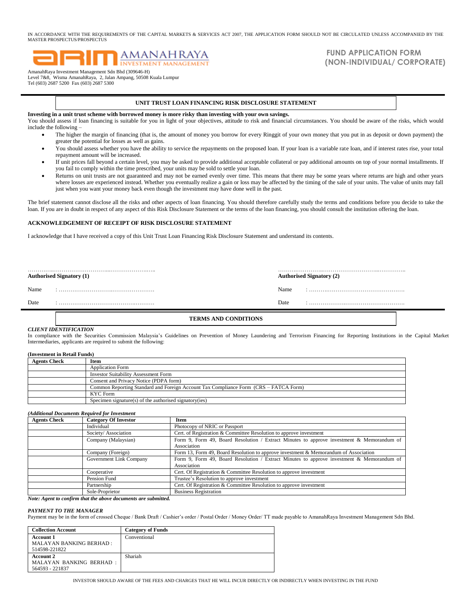IN ACCORDANCE WITH THE REQUIREMENTS OF THE CAPITAL MARKETS & SERVICES ACT 2007, THE APPLICATION FORM SHOULD NOT BE CIRCULATED UNLESS ACCOMPANIED BY THE MASTER PROSPECTUS/PROSPECTUS

# **AMANAHRAYA INVESTMENT MANAGEMEN**

AmanahRaya Investment Management Sdn Bhd (309646-H) Level 7&8, Wisma AmanahRaya, 2, Jalan Ampang, 50508 Kuala Lumpur Tel (603) 2687 5200 Fax (603) 2687 5300

## **FUND APPLICATION FORM (NON-INDIVIDUAL/ CORPORATE)**

#### **UNIT TRUST LOAN FINANCING RISK DISCLOSURE STATEMENT**

**Investing in a unit trust scheme with borrowed money is more risky than investing with your own savings.**

You should assess if loan financing is suitable for you in light of your objectives, attitude to risk and financial circumstances. You should be aware of the risks, which would include the following –

- The higher the margin of financing (that is, the amount of money you borrow for every Ringgit of your own money that you put in as deposit or down payment) the greater the potential for losses as well as gains.
- You should assess whether you have the ability to service the repayments on the proposed loan. If your loan is a variable rate loan, and if interest rates rise, your total repayment amount will be increased.
- If unit prices fall beyond a certain level, you may be asked to provide additional acceptable collateral or pay additional amounts on top of your normal installments. If you fail to comply within the time prescribed, your units may be sold to settle your loan.
- Returns on unit trusts are not guaranteed and may not be earned evenly over time. This means that there may be some years where returns are high and other years where losses are experienced instead. Whether you eventually realize a gain or loss may be affected by the timing of the sale of your units. The value of units may fall just when you want your money back even though the investment may have done well in the past.

The brief statement cannot disclose all the risks and other aspects of loan financing. You should therefore carefully study the terms and conditions before you decide to take the loan. If you are in doubt in respect of any aspect of this Risk Disclosure Statement or the terms of the loan financing, you should consult the institution offering the loan.

#### **ACKNOWLEDGEMENT OF RECEIPT OF RISK DISCLOSURE STATEMENT**

I acknowledge that I have received a copy of this Unit Trust Loan Financing Risk Disclosure Statement and understand its contents.

|      | <b>Authorised Signatory (1)</b> |      | <b>Authorised Signatory (2)</b> |
|------|---------------------------------|------|---------------------------------|
| Name |                                 | Name |                                 |
| Date |                                 | Date |                                 |
|      |                                 |      |                                 |

### **TERMS AND CONDITIONS**

## *CLIENT IDENTIFICATION*

In compliance with the Securities Commission Malaysia's Guidelines on Prevention of Money Laundering and Terrorism Financing for Reporting Institutions in the Capital Market Intermediaries, applicants are required to submit the following:

| (Investment in Retail Funds) |                                                                                      |  |  |  |
|------------------------------|--------------------------------------------------------------------------------------|--|--|--|
| <b>Agents Check</b>          | Item                                                                                 |  |  |  |
|                              | <b>Application Form</b>                                                              |  |  |  |
|                              | <b>Investor Suitability Assessment Form</b>                                          |  |  |  |
|                              | Consent and Privacy Notice (PDPA form)                                               |  |  |  |
|                              | Common Reporting Standard and Foreign Account Tax Compliance Form (CRS – FATCA Form) |  |  |  |
|                              | <b>KYC</b> Form                                                                      |  |  |  |
|                              | Specimen signature(s) of the authorised signatory(ies)                               |  |  |  |

#### *(Additional Documents Required for Investment*

| <b>Agents Check</b> | <b>Category Of Investor</b> | Item                                                                                                     |
|---------------------|-----------------------------|----------------------------------------------------------------------------------------------------------|
|                     | Individual                  | Photocopy of NRIC or Passport                                                                            |
|                     | Society/Association         | Cert. of Registration & Committee Resolution to approve investment                                       |
|                     | Company (Malaysian)         | Form 9, Form 49, Board Resolution / Extract Minutes to approve investment & Memorandum of<br>Association |
|                     | Company (Foreign)           | Form 13, Form 49, Board Resolution to approve investment & Memorandum of Association                     |
|                     | Government Link Company     | Form 9, Form 49, Board Resolution / Extract Minutes to approve investment & Memorandum of<br>Association |
|                     | Cooperative                 | Cert. Of Registration & Committee Resolution to approve investment                                       |
|                     | Pension Fund                | Trustee's Resolution to approve investment                                                               |
|                     | Partnership                 | Cert. Of Registration & Committee Resolution to approve investment                                       |
|                     | Sole-Proprietor<br>.        | <b>Business Registration</b>                                                                             |

*Note: Agent to confirm that the above documents are submitted.*

#### *PAYMENT TO THE MANAGER*

Payment may be in the form of crossed Cheque / Bank Draft / Cashier's order / Postal Order / Money Order/ TT made payable to AmanahRaya Investment Management Sdn Bhd.

| <b>Collection Account</b>                                           | <b>Category of Funds</b> |
|---------------------------------------------------------------------|--------------------------|
| <b>Account 1</b><br><b>MALAYAN BANKING BERHAD:</b><br>514598-221822 | Conventional             |
| <b>Account 2</b><br>MALAYAN BANKING BERHAD:<br>564593 - 221837      | Shariah                  |